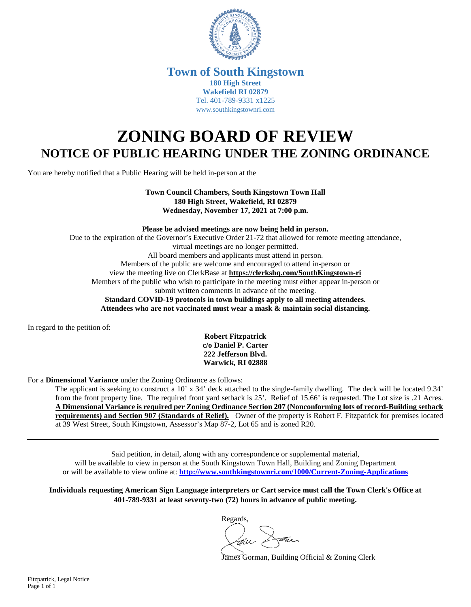

## **Town of South Kingstown 180 High Street Wakefield RI 02879** Tel. 401-789-9331 x1225 [www.southkingstownri.com](http://www.southkingstownri.com/)

## **ZONING BOARD OF REVIEW NOTICE OF PUBLIC HEARING UNDER THE ZONING ORDINANCE**

You are hereby notified that a Public Hearing will be held in-person at the

**Town Council Chambers, South Kingstown Town Hall 180 High Street, Wakefield, RI 02879 Wednesday, November 17, 2021 at 7:00 p.m.** 

**Please be advised meetings are now being held in person.**  Due to the expiration of the Governor's Executive Order 21-72 that allowed for remote meeting attendance, virtual meetings are no longer permitted. All board members and applicants must attend in person. Members of the public are welcome and encouraged to attend in-person or view the meeting live on ClerkBase at **<https://clerkshq.com/SouthKingstown-ri>** Members of the public who wish to participate in the meeting must either appear in-person or submit written comments in advance of the meeting. **Standard COVID-19 protocols in town buildings apply to all meeting attendees. Attendees who are not vaccinated must wear a mask & maintain social distancing.** 

In regard to the petition of:

**Robert Fitzpatrick c/o Daniel P. Carter 222 Jefferson Blvd. Warwick, RI 02888** 

For a **Dimensional Variance** under the Zoning Ordinance as follows:

The applicant is seeking to construct a 10' x 34' deck attached to the single-family dwelling. The deck will be located 9.34' from the front property line. The required front yard setback is 25'. Relief of 15.66' is requested. The Lot size is .21 Acres. **A Dimensional Variance is required per Zoning Ordinance Section 207 (Nonconforming lots of record-Building setback requirements) and Section 907 (Standards of Relief).** Owner of the property is Robert F. Fitzpatrick for premises located at 39 West Street, South Kingstown, Assessor's Map 87-2, Lot 65 and is zoned R20.

Said petition, in detail, along with any correspondence or supplemental material, will be available to view in person at the South Kingstown Town Hall, Building and Zoning Department or will be available to view online at: **<http://www.southkingstownri.com/1000/Current-Zoning-Applications>**

**Individuals requesting American Sign Language interpreters or Cart service must call the Town Clerk's Office at 401-789-9331 at least seventy-two (72) hours in advance of public meeting.** 

Regards,

James Gorman, Building Official & Zoning Clerk